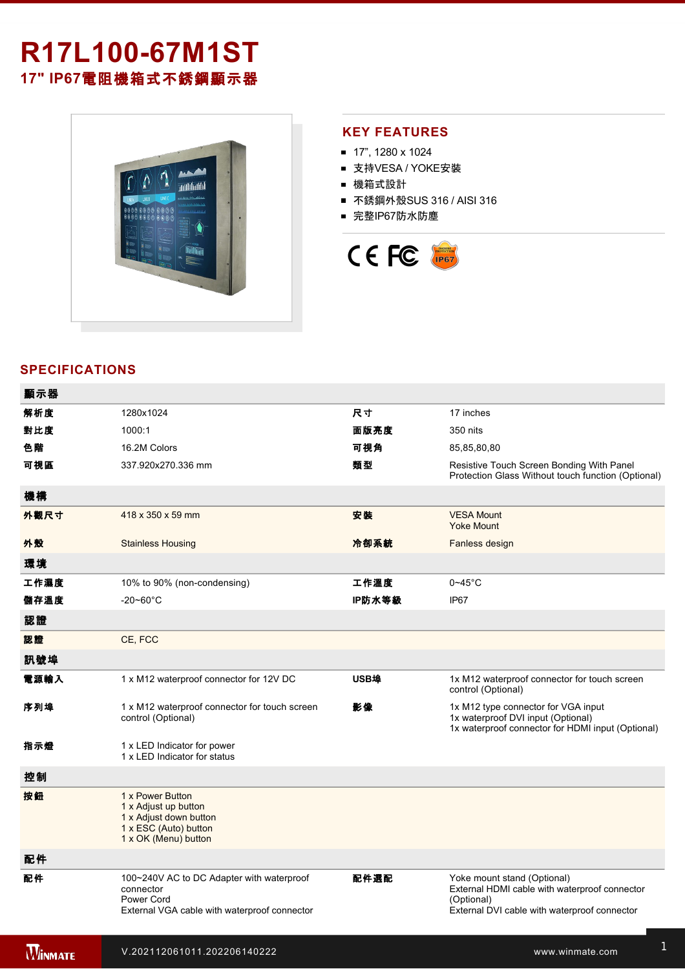# **R17L10067M1ST 17" IP67**電阻機箱式不銹鋼顯示器



### **KEY FEATURES**

- 17", 1280 x 1024
- 支持VESA / YOKE安裝
- 機箱式設計
- 不銹鋼外殼SUS 316 / AISI 316
- 完整IP67防水防塵



## **SPECIFICATIONS**

| 顯示器            |                                                                                                                      |        |                                                                                                                                            |
|----------------|----------------------------------------------------------------------------------------------------------------------|--------|--------------------------------------------------------------------------------------------------------------------------------------------|
| 解析度            | 1280x1024                                                                                                            | 尺寸     | 17 inches                                                                                                                                  |
| 對比度            | 1000:1                                                                                                               | 面版亮度   | 350 nits                                                                                                                                   |
| 色階             | 16.2M Colors                                                                                                         | 可視角    | 85,85,80,80                                                                                                                                |
| 可視區            | 337.920x270.336 mm                                                                                                   | 類型     | Resistive Touch Screen Bonding With Panel<br>Protection Glass Without touch function (Optional)                                            |
| 機構             |                                                                                                                      |        |                                                                                                                                            |
| 外觀尺寸           | 418 x 350 x 59 mm                                                                                                    | 安装     | <b>VESA Mount</b><br><b>Yoke Mount</b>                                                                                                     |
| 外殼             | <b>Stainless Housing</b>                                                                                             | 冷卻系統   | Fanless design                                                                                                                             |
| 環境             |                                                                                                                      |        |                                                                                                                                            |
| 工作濕度           | 10% to 90% (non-condensing)                                                                                          | 工作溫度   | $0 - 45$ °C                                                                                                                                |
| 儲存溫度           | $-20 - 60^{\circ}$ C                                                                                                 | IP防水等級 | IP67                                                                                                                                       |
| 認證             |                                                                                                                      |        |                                                                                                                                            |
| 認證             | CE, FCC                                                                                                              |        |                                                                                                                                            |
| 訊號埠            |                                                                                                                      |        |                                                                                                                                            |
| 電源輸入           | 1 x M12 waterproof connector for 12V DC                                                                              | USB埠   | 1x M12 waterproof connector for touch screen<br>control (Optional)                                                                         |
| 序列埠            | 1 x M12 waterproof connector for touch screen<br>control (Optional)                                                  | 影像     | 1x M12 type connector for VGA input<br>1x waterproof DVI input (Optional)<br>1x waterproof connector for HDMI input (Optional)             |
| 指示燈            | 1 x LED Indicator for power<br>1 x LED Indicator for status                                                          |        |                                                                                                                                            |
| 控制             |                                                                                                                      |        |                                                                                                                                            |
| 按鈕             | 1 x Power Button<br>1 x Adjust up button<br>1 x Adjust down button<br>1 x ESC (Auto) button<br>1 x OK (Menu) button  |        |                                                                                                                                            |
| 配件             |                                                                                                                      |        |                                                                                                                                            |
| 配件             | 100~240V AC to DC Adapter with waterproof<br>connector<br>Power Cord<br>External VGA cable with waterproof connector | 配件選配   | Yoke mount stand (Optional)<br>External HDMI cable with waterproof connector<br>(Optional)<br>External DVI cable with waterproof connector |
| <b>WINMATE</b> | V.202112061011.202206140222                                                                                          |        | www.winmate.com                                                                                                                            |

for touchscreen control (Optional)